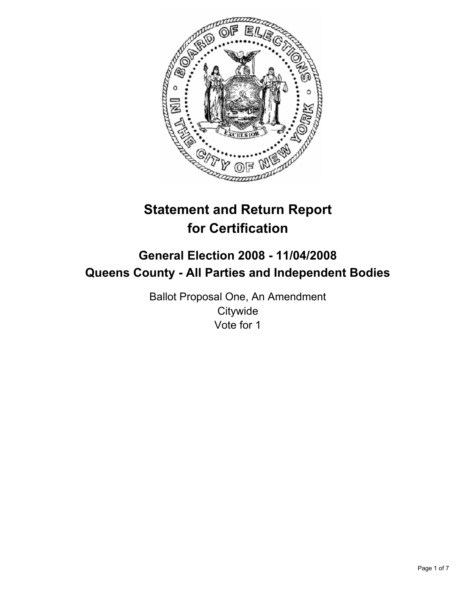

# **Statement and Return Report for Certification**

## **General Election 2008 - 11/04/2008 Queens County - All Parties and Independent Bodies**

Ballot Proposal One, An Amendment **Citywide** Vote for 1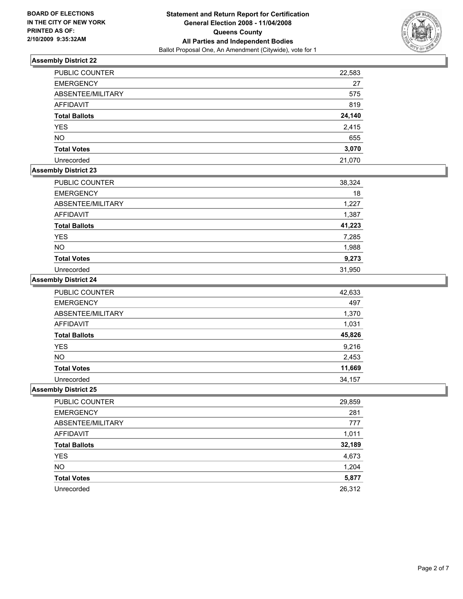

| PUBLIC COUNTER       | 22,583 |
|----------------------|--------|
| <b>EMERGENCY</b>     | 27     |
| ABSENTEE/MILITARY    | 575    |
| <b>AFFIDAVIT</b>     | 819    |
| <b>Total Ballots</b> | 24,140 |
| <b>YES</b>           | 2,415  |
| <b>NO</b>            | 655    |
| <b>Total Votes</b>   | 3,070  |
| Unrecorded           | 21,070 |

## **Assembly District 23**

| PUBLIC COUNTER       | 38,324 |
|----------------------|--------|
| <b>EMERGENCY</b>     | 18     |
| ABSENTEE/MILITARY    | 1,227  |
| <b>AFFIDAVIT</b>     | 1,387  |
| <b>Total Ballots</b> | 41,223 |
| <b>YES</b>           | 7,285  |
| <b>NO</b>            | 1,988  |
| <b>Total Votes</b>   | 9,273  |
| Unrecorded           | 31,950 |

#### **Assembly District 24**

| PUBLIC COUNTER       | 42,633 |
|----------------------|--------|
| <b>EMERGENCY</b>     | 497    |
| ABSENTEE/MILITARY    | 1,370  |
| <b>AFFIDAVIT</b>     | 1,031  |
| <b>Total Ballots</b> | 45,826 |
| <b>YES</b>           | 9,216  |
| <b>NO</b>            | 2,453  |
| <b>Total Votes</b>   | 11,669 |
| Unrecorded           | 34,157 |

| <b>PUBLIC COUNTER</b> | 29,859 |
|-----------------------|--------|
| <b>EMERGENCY</b>      | 281    |
| ABSENTEE/MILITARY     | 777    |
| AFFIDAVIT             | 1,011  |
| <b>Total Ballots</b>  | 32,189 |
| <b>YES</b>            | 4,673  |
| <b>NO</b>             | 1,204  |
| <b>Total Votes</b>    | 5,877  |
| Unrecorded            | 26,312 |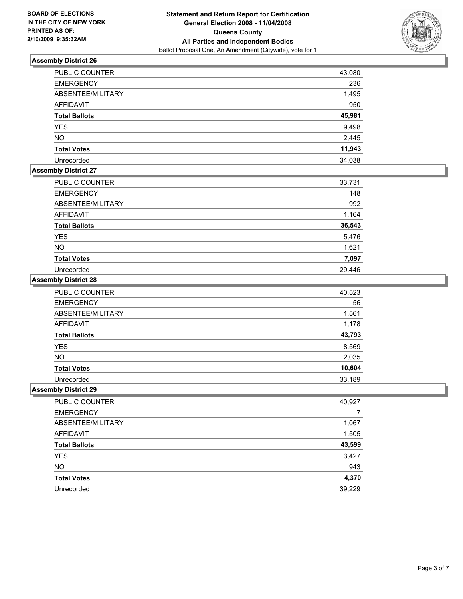

| PUBLIC COUNTER       | 43,080 |
|----------------------|--------|
| <b>EMERGENCY</b>     | 236    |
| ABSENTEE/MILITARY    | 1,495  |
| <b>AFFIDAVIT</b>     | 950    |
| <b>Total Ballots</b> | 45,981 |
| <b>YES</b>           | 9,498  |
| <b>NO</b>            | 2,445  |
| <b>Total Votes</b>   | 11,943 |
| Unrecorded           | 34,038 |

## **Assembly District 27**

| PUBLIC COUNTER       | 33,731 |
|----------------------|--------|
| <b>EMERGENCY</b>     | 148    |
| ABSENTEE/MILITARY    | 992    |
| <b>AFFIDAVIT</b>     | 1,164  |
| <b>Total Ballots</b> | 36,543 |
| <b>YES</b>           | 5,476  |
| <b>NO</b>            | 1,621  |
| <b>Total Votes</b>   | 7,097  |
| Unrecorded           | 29,446 |

#### **Assembly District 28**

| PUBLIC COUNTER       | 40,523 |
|----------------------|--------|
| <b>EMERGENCY</b>     | 56     |
| ABSENTEE/MILITARY    | 1,561  |
| <b>AFFIDAVIT</b>     | 1,178  |
| <b>Total Ballots</b> | 43,793 |
| YES                  | 8,569  |
| <b>NO</b>            | 2,035  |
| <b>Total Votes</b>   | 10,604 |
| Unrecorded           | 33,189 |

| <b>PUBLIC COUNTER</b> | 40,927 |
|-----------------------|--------|
| <b>EMERGENCY</b>      |        |
| ABSENTEE/MILITARY     | 1,067  |
| AFFIDAVIT             | 1,505  |
| <b>Total Ballots</b>  | 43,599 |
| <b>YES</b>            | 3,427  |
| <b>NO</b>             | 943    |
| <b>Total Votes</b>    | 4,370  |
| Unrecorded            | 39,229 |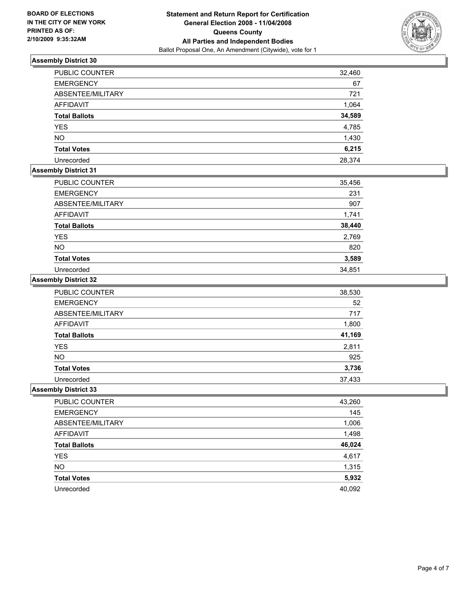

| <b>PUBLIC COUNTER</b> | 32,460 |
|-----------------------|--------|
| <b>EMERGENCY</b>      | 67     |
| ABSENTEE/MILITARY     | 721    |
| <b>AFFIDAVIT</b>      | 1,064  |
| <b>Total Ballots</b>  | 34,589 |
| <b>YES</b>            | 4,785  |
| <b>NO</b>             | 1,430  |
| <b>Total Votes</b>    | 6,215  |
| Unrecorded            | 28,374 |

## **Assembly District 31**

| <b>PUBLIC COUNTER</b> | 35,456 |
|-----------------------|--------|
| <b>EMERGENCY</b>      | 231    |
| ABSENTEE/MILITARY     | 907    |
| AFFIDAVIT             | 1,741  |
| <b>Total Ballots</b>  | 38,440 |
| <b>YES</b>            | 2,769  |
| <b>NO</b>             | 820    |
| <b>Total Votes</b>    | 3,589  |
| Unrecorded            | 34,851 |

#### **Assembly District 32**

| PUBLIC COUNTER       | 38,530 |
|----------------------|--------|
| <b>EMERGENCY</b>     | 52     |
| ABSENTEE/MILITARY    | 717    |
| <b>AFFIDAVIT</b>     | 1,800  |
| <b>Total Ballots</b> | 41,169 |
| YES                  | 2,811  |
| <b>NO</b>            | 925    |
| <b>Total Votes</b>   | 3,736  |
| Unrecorded           | 37,433 |

| PUBLIC COUNTER       | 43,260 |
|----------------------|--------|
| <b>EMERGENCY</b>     | 145    |
| ABSENTEE/MILITARY    | 1,006  |
| <b>AFFIDAVIT</b>     | 1,498  |
| <b>Total Ballots</b> | 46,024 |
| <b>YES</b>           | 4,617  |
| <b>NO</b>            | 1,315  |
| <b>Total Votes</b>   | 5,932  |
| Unrecorded           | 40,092 |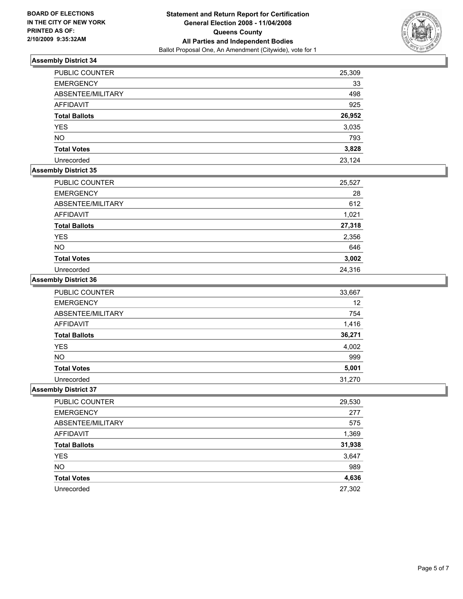

| PUBLIC COUNTER       | 25,309 |
|----------------------|--------|
| <b>EMERGENCY</b>     | 33     |
| ABSENTEE/MILITARY    | 498    |
| <b>AFFIDAVIT</b>     | 925    |
| <b>Total Ballots</b> | 26,952 |
| <b>YES</b>           | 3,035  |
| <b>NO</b>            | 793    |
| <b>Total Votes</b>   | 3,828  |
| Unrecorded           | 23,124 |

## **Assembly District 35**

| PUBLIC COUNTER       | 25,527 |
|----------------------|--------|
| <b>EMERGENCY</b>     | 28     |
| ABSENTEE/MILITARY    | 612    |
| <b>AFFIDAVIT</b>     | 1,021  |
| <b>Total Ballots</b> | 27,318 |
| <b>YES</b>           | 2,356  |
| <b>NO</b>            | 646    |
| <b>Total Votes</b>   | 3,002  |
| Unrecorded           | 24,316 |

#### **Assembly District 36**

| PUBLIC COUNTER       | 33,667 |
|----------------------|--------|
| <b>EMERGENCY</b>     | 12     |
| ABSENTEE/MILITARY    | 754    |
| <b>AFFIDAVIT</b>     | 1,416  |
| <b>Total Ballots</b> | 36,271 |
| <b>YES</b>           | 4,002  |
| <b>NO</b>            | 999    |
| <b>Total Votes</b>   | 5,001  |
| Unrecorded           | 31,270 |

| <b>PUBLIC COUNTER</b> | 29,530 |
|-----------------------|--------|
| <b>EMERGENCY</b>      | 277    |
| ABSENTEE/MILITARY     | 575    |
| AFFIDAVIT             | 1,369  |
| <b>Total Ballots</b>  | 31,938 |
| <b>YES</b>            | 3,647  |
| <b>NO</b>             | 989    |
| <b>Total Votes</b>    | 4,636  |
| Unrecorded            | 27,302 |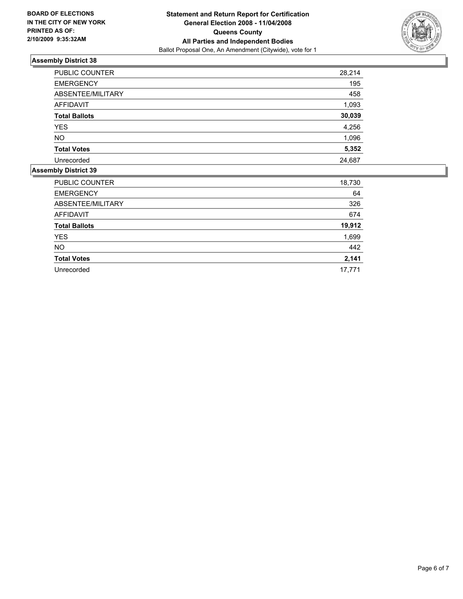

| PUBLIC COUNTER       | 28,214 |
|----------------------|--------|
| <b>EMERGENCY</b>     | 195    |
| ABSENTEE/MILITARY    | 458    |
| <b>AFFIDAVIT</b>     | 1,093  |
| <b>Total Ballots</b> | 30,039 |
| <b>YES</b>           | 4,256  |
| NO.                  | 1,096  |
| <b>Total Votes</b>   | 5,352  |
| Unrecorded           | 24,687 |

| <b>PUBLIC COUNTER</b> | 18,730 |
|-----------------------|--------|
| <b>EMERGENCY</b>      | 64     |
| ABSENTEE/MILITARY     | 326    |
| <b>AFFIDAVIT</b>      | 674    |
| <b>Total Ballots</b>  | 19,912 |
| <b>YES</b>            | 1,699  |
| <b>NO</b>             | 442    |
| <b>Total Votes</b>    | 2,141  |
| Unrecorded            | 17,771 |